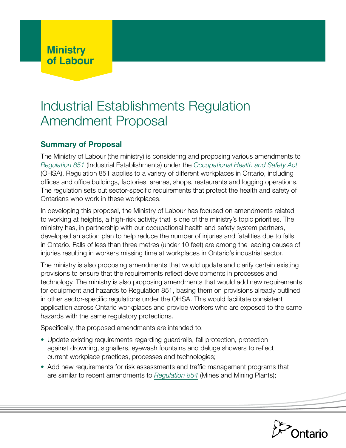# Industrial Establishments Regulation Amendment Proposal

# **Summary of Proposal**

The Ministry of Labour (the ministry) is considering and proposing various amendments to *[Regulation 851](https://www.ontario.ca/laws/regulation/900851)* (Industrial Establishments) under the *[Occupational Health and Safety Act](https://www.ontario.ca/laws/statute/90o01)* (OHSA). Regulation 851 applies to a variety of different workplaces in Ontario, including offices and office buildings, factories, arenas, shops, restaurants and logging operations. The regulation sets out sector-specific requirements that protect the health and safety of Ontarians who work in these workplaces.

In developing this proposal, the Ministry of Labour has focused on amendments related to working at heights, a high-risk activity that is one of the ministry's topic priorities. The ministry has, in partnership with our occupational health and safety system partners, developed an action plan to help reduce the number of injuries and fatalities due to falls in Ontario. Falls of less than three metres (under 10 feet) are among the leading causes of injuries resulting in workers missing time at workplaces in Ontario's industrial sector.

The ministry is also proposing amendments that would update and clarify certain existing provisions to ensure that the requirements reflect developments in processes and technology. The ministry is also proposing amendments that would add new requirements for equipment and hazards to Regulation 851, basing them on provisions already outlined in other sector-specific regulations under the OHSA. This would facilitate consistent application across Ontario workplaces and provide workers who are exposed to the same hazards with the same regulatory protections.

Specifically, the proposed amendments are intended to:

- **•** Update existing requirements regarding guardrails, fall protection, protection against drowning, signallers, eyewash fountains and deluge showers to reflect current workplace practices, processes and technologies;
- **•** Add new requirements for risk assessments and traffic management programs that are similar to recent amendments to *[Regulation 854](https://www.ontario.ca/laws/regulation/900854)* (Mines and Mining Plants);

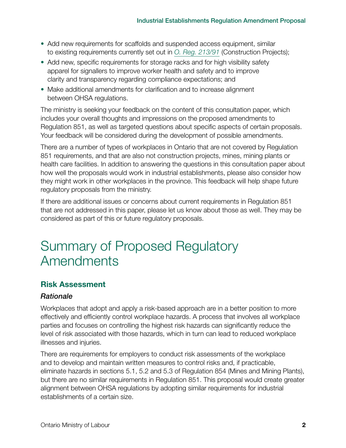- **•** Add new requirements for scaffolds and suspended access equipment, similar to existing requirements currently set out in *[O. Reg. 213/91](https://www.ontario.ca/laws/regulation/910213)* (Construction Projects);
- **•** Add new, specific requirements for storage racks and for high visibility safety apparel for signallers to improve worker health and safety and to improve clarity and transparency regarding compliance expectations; and
- **•** Make additional amendments for clarification and to increase alignment between OHSA regulations.

The ministry is seeking your feedback on the content of this consultation paper, which includes your overall thoughts and impressions on the proposed amendments to Regulation 851, as well as targeted questions about specific aspects of certain proposals. Your feedback will be considered during the development of possible amendments.

There are a number of types of workplaces in Ontario that are not covered by Regulation 851 requirements, and that are also not construction projects, mines, mining plants or health care facilities. In addition to answering the questions in this consultation paper about how well the proposals would work in industrial establishments, please also consider how they might work in other workplaces in the province. This feedback will help shape future regulatory proposals from the ministry.

If there are additional issues or concerns about current requirements in Regulation 851 that are not addressed in this paper, please let us know about those as well. They may be considered as part of this or future regulatory proposals.

# Summary of Proposed Regulatory **Amendments**

# **Risk Assessment**

## *Rationale*

Workplaces that adopt and apply a risk-based approach are in a better position to more effectively and efficiently control workplace hazards. A process that involves all workplace parties and focuses on controlling the highest risk hazards can significantly reduce the level of risk associated with those hazards, which in turn can lead to reduced workplace illnesses and injuries.

There are requirements for employers to conduct risk assessments of the workplace and to develop and maintain written measures to control risks and, if practicable, eliminate hazards in sections 5.1, 5.2 and 5.3 of Regulation 854 (Mines and Mining Plants), but there are no similar requirements in Regulation 851. This proposal would create greater alignment between OHSA regulations by adopting similar requirements for industrial establishments of a certain size.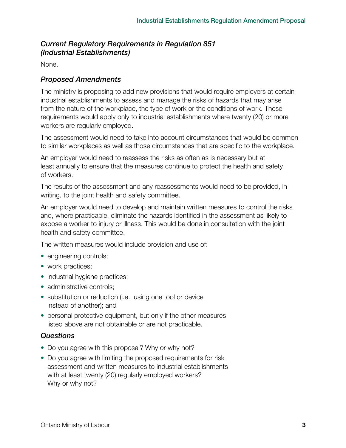# *Current Regulatory Requirements in Regulation 851 (Industrial Establishments)*

None.

## *Proposed Amendments*

The ministry is proposing to add new provisions that would require employers at certain industrial establishments to assess and manage the risks of hazards that may arise from the nature of the workplace, the type of work or the conditions of work. These requirements would apply only to industrial establishments where twenty (20) or more workers are regularly employed.

The assessment would need to take into account circumstances that would be common to similar workplaces as well as those circumstances that are specific to the workplace.

An employer would need to reassess the risks as often as is necessary but at least annually to ensure that the measures continue to protect the health and safety of workers.

The results of the assessment and any reassessments would need to be provided, in writing, to the joint health and safety committee.

An employer would need to develop and maintain written measures to control the risks and, where practicable, eliminate the hazards identified in the assessment as likely to expose a worker to injury or illness. This would be done in consultation with the joint health and safety committee.

The written measures would include provision and use of:

- engineering controls;
- **•** work practices;
- industrial hygiene practices;
- administrative controls;
- **•** substitution or reduction (i.e., using one tool or device instead of another); and
- **•** personal protective equipment, but only if the other measures listed above are not obtainable or are not practicable.

## *Questions*

- **•** Do you agree with this proposal? Why or why not?
- **•** Do you agree with limiting the proposed requirements for risk assessment and written measures to industrial establishments with at least twenty (20) regularly employed workers? Why or why not?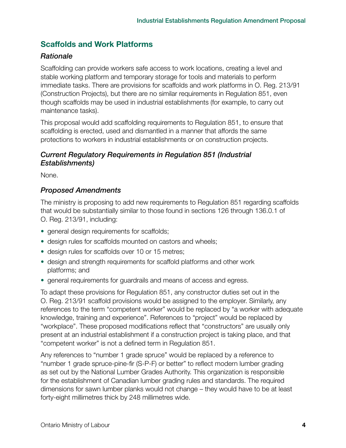# **Scaffolds and Work Platforms**

## *Rationale*

Scaffolding can provide workers safe access to work locations, creating a level and stable working platform and temporary storage for tools and materials to perform immediate tasks. There are provisions for scaffolds and work platforms in O. Reg. 213/91 (Construction Projects), but there are no similar requirements in Regulation 851, even though scaffolds may be used in industrial establishments (for example, to carry out maintenance tasks).

This proposal would add scaffolding requirements to Regulation 851, to ensure that scaffolding is erected, used and dismantled in a manner that affords the same protections to workers in industrial establishments or on construction projects.

#### *Current Regulatory Requirements in Regulation 851 (Industrial Establishments)*

None.

## *Proposed Amendments*

The ministry is proposing to add new requirements to Regulation 851 regarding scaffolds that would be substantially similar to those found in sections 126 through 136.0.1 of O. Reg. 213/91, including:

- **•** general design requirements for scaffolds;
- **•** design rules for scaffolds mounted on castors and wheels;
- **•** design rules for scaffolds over 10 or 15 metres;
- **•** design and strength requirements for scaffold platforms and other work platforms; and
- **•** general requirements for guardrails and means of access and egress.

To adapt these provisions for Regulation 851, any constructor duties set out in the O. Reg. 213/91 scaffold provisions would be assigned to the employer. Similarly, any references to the term "competent worker" would be replaced by "a worker with adequate knowledge, training and experience". References to "project" would be replaced by "workplace". These proposed modifications reflect that "constructors" are usually only present at an industrial establishment if a construction project is taking place, and that "competent worker" is not a defined term in Regulation 851.

Any references to "number 1 grade spruce" would be replaced by a reference to "number 1 grade spruce-pine-fir (S-P-F) or better" to reflect modern lumber grading as set out by the National Lumber Grades Authority. This organization is responsible for the establishment of Canadian lumber grading rules and standards. The required dimensions for sawn lumber planks would not change – they would have to be at least forty-eight millimetres thick by 248 millimetres wide.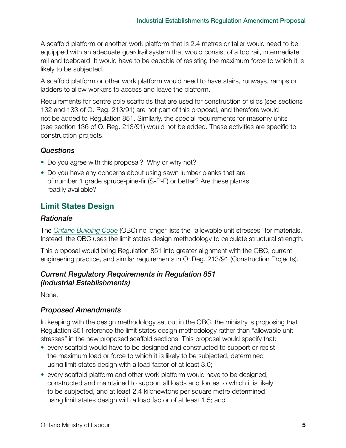A scaffold platform or another work platform that is 2.4 metres or taller would need to be equipped with an adequate guardrail system that would consist of a top rail, intermediate rail and toeboard. It would have to be capable of resisting the maximum force to which it is likely to be subjected.

A scaffold platform or other work platform would need to have stairs, runways, ramps or ladders to allow workers to access and leave the platform.

Requirements for centre pole scaffolds that are used for construction of silos (see sections 132 and 133 of O. Reg. 213/91) are not part of this proposal, and therefore would not be added to Regulation 851. Similarly, the special requirements for masonry units (see section 136 of O. Reg. 213/91) would not be added. These activities are specific to construction projects.

#### *Questions*

- **•** Do you agree with this proposal? Why or why not?
- **•** Do you have any concerns about using sawn lumber planks that are of number 1 grade spruce-pine-fir (S-P-F) or better? Are these planks readily available?

# **Limit States Design**

#### *Rationale*

The *[Ontario Building Code](https://www.ontario.ca/laws/regulation/120332)* (OBC) no longer lists the "allowable unit stresses" for materials. Instead, the OBC uses the limit states design methodology to calculate structural strength.

This proposal would bring Regulation 851 into greater alignment with the OBC, current engineering practice, and similar requirements in O. Reg. 213/91 (Construction Projects).

#### *Current Regulatory Requirements in Regulation 851 (Industrial Establishments)*

None.

#### *Proposed Amendments*

In keeping with the design methodology set out in the OBC, the ministry is proposing that Regulation 851 reference the limit states design methodology rather than "allowable unit stresses" in the new proposed scaffold sections. This proposal would specify that:

- **•** every scaffold would have to be designed and constructed to support or resist the maximum load or force to which it is likely to be subjected, determined using limit states design with a load factor of at least 3.0;
- **•** every scaffold platform and other work platform would have to be designed, constructed and maintained to support all loads and forces to which it is likely to be subjected, and at least 2.4 kilonewtons per square metre determined using limit states design with a load factor of at least 1.5; and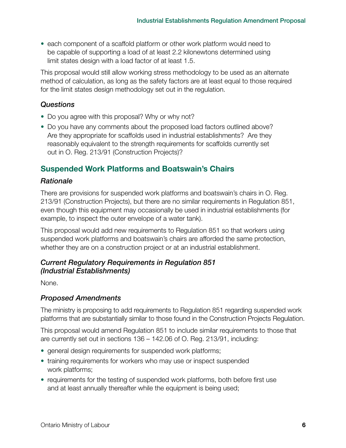**•** each component of a scaffold platform or other work platform would need to be capable of supporting a load of at least 2.2 kilonewtons determined using limit states design with a load factor of at least 1.5.

This proposal would still allow working stress methodology to be used as an alternate method of calculation, as long as the safety factors are at least equal to those required for the limit states design methodology set out in the regulation.

## *Questions*

- **•** Do you agree with this proposal? Why or why not?
- **•** Do you have any comments about the proposed load factors outlined above? Are they appropriate for scaffolds used in industrial establishments? Are they reasonably equivalent to the strength requirements for scaffolds currently set out in O. Reg. 213/91 (Construction Projects)?

# **Suspended Work Platforms and Boatswain's Chairs**

## *Rationale*

There are provisions for suspended work platforms and boatswain's chairs in O. Reg. 213/91 (Construction Projects), but there are no similar requirements in Regulation 851, even though this equipment may occasionally be used in industrial establishments (for example, to inspect the outer envelope of a water tank).

This proposal would add new requirements to Regulation 851 so that workers using suspended work platforms and boatswain's chairs are afforded the same protection, whether they are on a construction project or at an industrial establishment.

## *Current Regulatory Requirements in Regulation 851 (Industrial Establishments)*

None.

## *Proposed Amendments*

The ministry is proposing to add requirements to Regulation 851 regarding suspended work platforms that are substantially similar to those found in the Construction Projects Regulation.

This proposal would amend Regulation 851 to include similar requirements to those that are currently set out in sections 136 – 142.06 of O. Reg. 213/91, including:

- **•** general design requirements for suspended work platforms;
- **•** training requirements for workers who may use or inspect suspended work platforms;
- **•** requirements for the testing of suspended work platforms, both before first use and at least annually thereafter while the equipment is being used;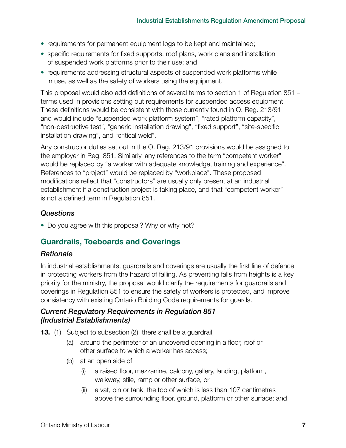- **•** requirements for permanent equipment logs to be kept and maintained;
- **•** specific requirements for fixed supports, roof plans, work plans and installation of suspended work platforms prior to their use; and
- **•** requirements addressing structural aspects of suspended work platforms while in use, as well as the safety of workers using the equipment.

This proposal would also add definitions of several terms to section 1 of Regulation 851 – terms used in provisions setting out requirements for suspended access equipment. These definitions would be consistent with those currently found in O. Reg. 213/91 and would include "suspended work platform system", "rated platform capacity", "non-destructive test", "generic installation drawing", "fixed support", "site-specific installation drawing", and "critical weld".

Any constructor duties set out in the O. Reg. 213/91 provisions would be assigned to the employer in Reg. 851. Similarly, any references to the term "competent worker" would be replaced by "a worker with adequate knowledge, training and experience". References to "project" would be replaced by "workplace". These proposed modifications reflect that "constructors" are usually only present at an industrial establishment if a construction project is taking place, and that "competent worker" is not a defined term in Regulation 851.

## *Questions*

**•** Do you agree with this proposal? Why or why not?

# **Guardrails, Toeboards and Coverings**

#### *Rationale*

In industrial establishments, guardrails and coverings are usually the first line of defence in protecting workers from the hazard of falling. As preventing falls from heights is a key priority for the ministry, the proposal would clarify the requirements for guardrails and coverings in Regulation 851 to ensure the safety of workers is protected, and improve consistency with existing Ontario Building Code requirements for guards.

#### *Current Regulatory Requirements in Regulation 851 (Industrial Establishments)*

- **13.** (1) Subject to subsection (2), there shall be a guardrail,
	- (a) around the perimeter of an uncovered opening in a floor, roof or other surface to which a worker has access;
	- (b) at an open side of,
		- (i) a raised floor, mezzanine, balcony, gallery, landing, platform, walkway, stile, ramp or other surface, or
		- (ii) a vat, bin or tank, the top of which is less than 107 centimetres above the surrounding floor, ground, platform or other surface; and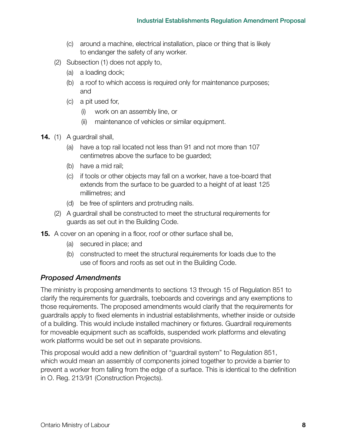- (c) around a machine, electrical installation, place or thing that is likely to endanger the safety of any worker.
- (2) Subsection (1) does not apply to,
	- (a) a loading dock;
	- (b) a roof to which access is required only for maintenance purposes; and
	- (c) a pit used for,
		- (i) work on an assembly line, or
		- (ii) maintenance of vehicles or similar equipment.
- **14.** (1) A guardrail shall,
	- (a) have a top rail located not less than 91 and not more than 107 centimetres above the surface to be guarded;
	- (b) have a mid rail;
	- (c) if tools or other objects may fall on a worker, have a toe-board that extends from the surface to be guarded to a height of at least 125 millimetres; and
	- (d) be free of splinters and protruding nails.
	- (2) A guardrail shall be constructed to meet the structural requirements for guards as set out in the Building Code.
- **15.** A cover on an opening in a floor, roof or other surface shall be,
	- (a) secured in place; and
	- (b) constructed to meet the structural requirements for loads due to the use of floors and roofs as set out in the Building Code.

The ministry is proposing amendments to sections 13 through 15 of Regulation 851 to clarify the requirements for guardrails, toeboards and coverings and any exemptions to those requirements. The proposed amendments would clarify that the requirements for guardrails apply to fixed elements in industrial establishments, whether inside or outside of a building. This would include installed machinery or fixtures. Guardrail requirements for moveable equipment such as scaffolds, suspended work platforms and elevating work platforms would be set out in separate provisions.

This proposal would add a new definition of "guardrail system" to Regulation 851, which would mean an assembly of components joined together to provide a barrier to prevent a worker from falling from the edge of a surface. This is identical to the definition in O. Reg. 213/91 (Construction Projects).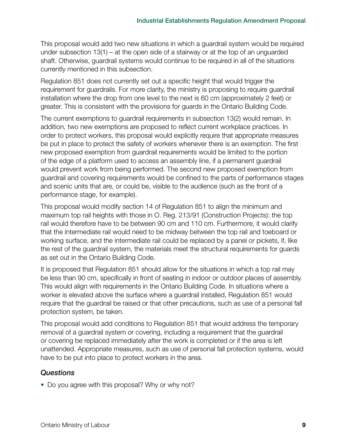This proposal would add two new situations in which a guardrail system would be required under subsection 13(1) – at the open side of a stairway or at the top of an unguarded shaft. Otherwise, guardrail systems would continue to be required in all of the situations currently mentioned in this subsection.

Regulation 851 does not currently set out a specific height that would trigger the requirement for guardrails. For more clarity, the ministry is proposing to require guardrail installation where the drop from one level to the next is 60 cm (approximately 2 feet) or greater. This is consistent with the provisions for guards in the Ontario Building Code.

The current exemptions to guardrail requirements in subsection 13(2) would remain. In addition, two new exemptions are proposed to reflect current workplace practices. In order to protect workers, this proposal would explicitly require that appropriate measures be put in place to protect the safety of workers whenever there is an exemption. The first new proposed exemption from guardrail requirements would be limited to the portion of the edge of a platform used to access an assembly line, if a permanent guardrail would prevent work from being performed. The second new proposed exemption from guardrail and covering requirements would be confined to the parts of performance stages and scenic units that are, or could be, visible to the audience (such as the front of a performance stage, for example).

This proposal would modify section 14 of Regulation 851 to align the minimum and maximum top rail heights with those in O. Reg. 213/91 (Construction Projects): the top rail would therefore have to be between 90 cm and 110 cm. Furthermore, it would clarify that the intermediate rail would need to be midway between the top rail and toeboard or working surface, and the intermediate rail could be replaced by a panel or pickets, if, like the rest of the guardrail system, the materials meet the structural requirements for guards as set out in the Ontario Building Code.

It is proposed that Regulation 851 should allow for the situations in which a top rail may be less than 90 cm, specifically in front of seating in indoor or outdoor places of assembly. This would align with requirements in the Ontario Building Code. In situations where a worker is elevated above the surface where a guardrail installed, Regulation 851 would require that the guardrail be raised or that other precautions, such as use of a personal fall protection system, be taken.

This proposal would add conditions to Regulation 851 that would address the temporary removal of a guardrail system or covering, including a requirement that the guardrail or covering be replaced immediately after the work is completed or if the area is left unattended. Appropriate measures, such as use of personal fall protection systems, would have to be put into place to protect workers in the area.

#### *Questions*

**•** Do you agree with this proposal? Why or why not?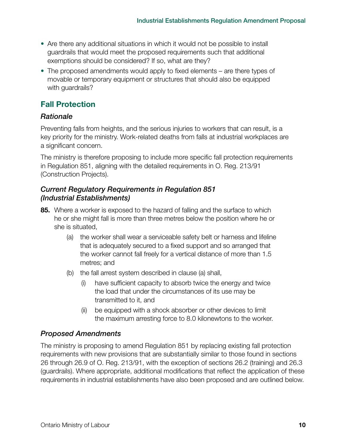- **•** Are there any additional situations in which it would not be possible to install guardrails that would meet the proposed requirements such that additional exemptions should be considered? If so, what are they?
- **•** The proposed amendments would apply to fixed elements are there types of movable or temporary equipment or structures that should also be equipped with guardrails?

# **Fall Protection**

# *Rationale*

Preventing falls from heights, and the serious injuries to workers that can result, is a key priority for the ministry. Work-related deaths from falls at industrial workplaces are a significant concern.

The ministry is therefore proposing to include more specific fall protection requirements in Regulation 851, aligning with the detailed requirements in O. Reg. 213/91 (Construction Projects).

## *Current Regulatory Requirements in Regulation 851 (Industrial Establishments)*

- **85.** Where a worker is exposed to the hazard of falling and the surface to which he or she might fall is more than three metres below the position where he or she is situated,
	- (a) the worker shall wear a serviceable safety belt or harness and lifeline that is adequately secured to a fixed support and so arranged that the worker cannot fall freely for a vertical distance of more than 1.5 metres; and
	- (b) the fall arrest system described in clause (a) shall,
		- have sufficient capacity to absorb twice the energy and twice the load that under the circumstances of its use may be transmitted to it, and
		- (ii) be equipped with a shock absorber or other devices to limit the maximum arresting force to 8.0 kilonewtons to the worker.

# *Proposed Amendments*

The ministry is proposing to amend Regulation 851 by replacing existing fall protection requirements with new provisions that are substantially similar to those found in sections 26 through 26.9 of O. Reg. 213/91, with the exception of sections 26.2 (training) and 26.3 (guardrails). Where appropriate, additional modifications that reflect the application of these requirements in industrial establishments have also been proposed and are outlined below.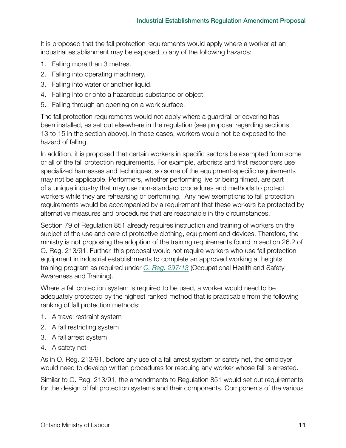It is proposed that the fall protection requirements would apply where a worker at an industrial establishment may be exposed to any of the following hazards:

- 1. Falling more than 3 metres.
- 2. Falling into operating machinery.
- 3. Falling into water or another liquid.
- 4. Falling into or onto a hazardous substance or object.
- 5. Falling through an opening on a work surface.

The fall protection requirements would not apply where a guardrail or covering has been installed, as set out elsewhere in the regulation (see proposal regarding sections 13 to 15 in the section above). In these cases, workers would not be exposed to the hazard of falling.

In addition, it is proposed that certain workers in specific sectors be exempted from some or all of the fall protection requirements. For example, arborists and first responders use specialized harnesses and techniques, so some of the equipment-specific requirements may not be applicable. Performers, whether performing live or being filmed, are part of a unique industry that may use non-standard procedures and methods to protect workers while they are rehearsing or performing. Any new exemptions to fall protection requirements would be accompanied by a requirement that these workers be protected by alternative measures and procedures that are reasonable in the circumstances.

Section 79 of Regulation 851 already requires instruction and training of workers on the subject of the use and care of protective clothing, equipment and devices. Therefore, the ministry is not proposing the adoption of the training requirements found in section 26.2 of O. Reg. 213/91. Further, this proposal would not require workers who use fall protection equipment in industrial establishments to complete an approved working at heights training program as required under *[O. Reg. 297/13](https://www.ontario.ca/laws/regulation/130297)* (Occupational Health and Safety Awareness and Training).

Where a fall protection system is required to be used, a worker would need to be adequately protected by the highest ranked method that is practicable from the following ranking of fall protection methods:

- 1. A travel restraint system
- 2. A fall restricting system
- 3. A fall arrest system
- 4. A safety net

As in O. Reg. 213/91, before any use of a fall arrest system or safety net, the employer would need to develop written procedures for rescuing any worker whose fall is arrested.

Similar to O. Reg. 213/91, the amendments to Regulation 851 would set out requirements for the design of fall protection systems and their components. Components of the various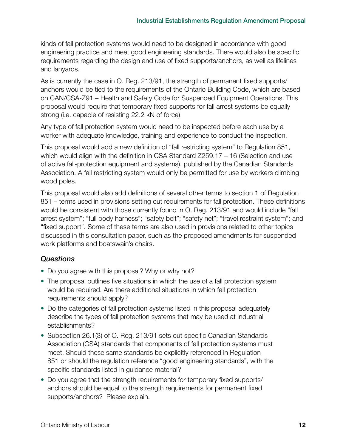kinds of fall protection systems would need to be designed in accordance with good engineering practice and meet good engineering standards. There would also be specific requirements regarding the design and use of fixed supports/anchors, as well as lifelines and lanyards.

As is currently the case in O. Reg. 213/91, the strength of permanent fixed supports/ anchors would be tied to the requirements of the Ontario Building Code, which are based on CAN/CSA-Z91 – Health and Safety Code for Suspended Equipment Operations. This proposal would require that temporary fixed supports for fall arrest systems be equally strong (i.e. capable of resisting 22.2 kN of force).

Any type of fall protection system would need to be inspected before each use by a worker with adequate knowledge, training and experience to conduct the inspection.

This proposal would add a new definition of "fall restricting system" to Regulation 851, which would align with the definition in CSA Standard Z259.17 – 16 (Selection and use of active fall-protection equipment and systems), published by the Canadian Standards Association. A fall restricting system would only be permitted for use by workers climbing wood poles.

This proposal would also add definitions of several other terms to section 1 of Regulation 851 – terms used in provisions setting out requirements for fall protection. These definitions would be consistent with those currently found in O. Reg. 213/91 and would include "fall arrest system"; "full body harness"; "safety belt"; "safety net"; "travel restraint system"; and "fixed support". Some of these terms are also used in provisions related to other topics discussed in this consultation paper, such as the proposed amendments for suspended work platforms and boatswain's chairs.

#### *Questions*

- **•** Do you agree with this proposal? Why or why not?
- **•** The proposal outlines five situations in which the use of a fall protection system would be required. Are there additional situations in which fall protection requirements should apply?
- **•** Do the categories of fall protection systems listed in this proposal adequately describe the types of fall protection systems that may be used at industrial establishments?
- **•** Subsection 26.1(3) of O. Reg. 213/91 sets out specific Canadian Standards Association (CSA) standards that components of fall protection systems must meet. Should these same standards be explicitly referenced in Regulation 851 or should the regulation reference "good engineering standards", with the specific standards listed in guidance material?
- **•** Do you agree that the strength requirements for temporary fixed supports/ anchors should be equal to the strength requirements for permanent fixed supports/anchors? Please explain.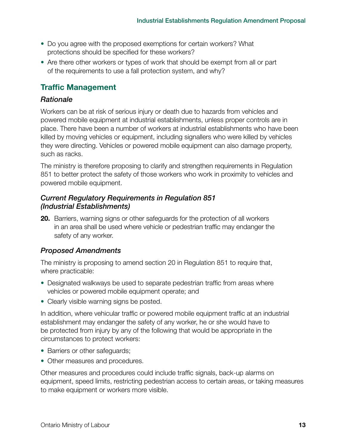- **•** Do you agree with the proposed exemptions for certain workers? What protections should be specified for these workers?
- **•** Are there other workers or types of work that should be exempt from all or part of the requirements to use a fall protection system, and why?

# **Traffic Management**

#### *Rationale*

Workers can be at risk of serious injury or death due to hazards from vehicles and powered mobile equipment at industrial establishments, unless proper controls are in place. There have been a number of workers at industrial establishments who have been killed by moving vehicles or equipment, including signallers who were killed by vehicles they were directing. Vehicles or powered mobile equipment can also damage property, such as racks.

The ministry is therefore proposing to clarify and strengthen requirements in Regulation 851 to better protect the safety of those workers who work in proximity to vehicles and powered mobile equipment.

#### *Current Regulatory Requirements in Regulation 851 (Industrial Establishments)*

**20.** Barriers, warning signs or other safeguards for the protection of all workers in an area shall be used where vehicle or pedestrian traffic may endanger the safety of any worker.

## *Proposed Amendments*

The ministry is proposing to amend section 20 in Regulation 851 to require that, where practicable:

- **•** Designated walkways be used to separate pedestrian traffic from areas where vehicles or powered mobile equipment operate; and
- **•** Clearly visible warning signs be posted.

In addition, where vehicular traffic or powered mobile equipment traffic at an industrial establishment may endanger the safety of any worker, he or she would have to be protected from injury by any of the following that would be appropriate in the circumstances to protect workers:

- **•** Barriers or other safeguards;
- **•** Other measures and procedures.

Other measures and procedures could include traffic signals, back-up alarms on equipment, speed limits, restricting pedestrian access to certain areas, or taking measures to make equipment or workers more visible.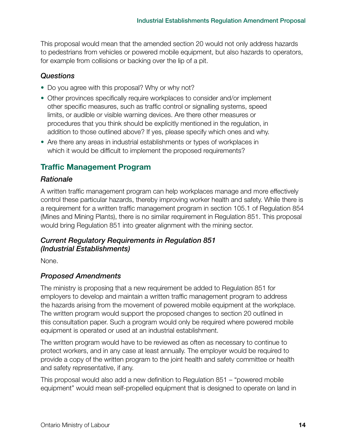This proposal would mean that the amended section 20 would not only address hazards to pedestrians from vehicles or powered mobile equipment, but also hazards to operators, for example from collisions or backing over the lip of a pit.

#### *Questions*

- **•** Do you agree with this proposal? Why or why not?
- **•** Other provinces specifically require workplaces to consider and/or implement other specific measures, such as traffic control or signalling systems, speed limits, or audible or visible warning devices. Are there other measures or procedures that you think should be explicitly mentioned in the regulation, in addition to those outlined above? If yes, please specify which ones and why.
- **•** Are there any areas in industrial establishments or types of workplaces in which it would be difficult to implement the proposed requirements?

# **Traffic Management Program**

#### *Rationale*

A written traffic management program can help workplaces manage and more effectively control these particular hazards, thereby improving worker health and safety. While there is a requirement for a written traffic management program in section 105.1 of Regulation 854 (Mines and Mining Plants), there is no similar requirement in Regulation 851. This proposal would bring Regulation 851 into greater alignment with the mining sector.

## *Current Regulatory Requirements in Regulation 851 (Industrial Establishments)*

None.

#### *Proposed Amendments*

The ministry is proposing that a new requirement be added to Regulation 851 for employers to develop and maintain a written traffic management program to address the hazards arising from the movement of powered mobile equipment at the workplace. The written program would support the proposed changes to section 20 outlined in this consultation paper. Such a program would only be required where powered mobile equipment is operated or used at an industrial establishment.

The written program would have to be reviewed as often as necessary to continue to protect workers, and in any case at least annually. The employer would be required to provide a copy of the written program to the joint health and safety committee or health and safety representative, if any.

This proposal would also add a new definition to Regulation 851 – "powered mobile equipment" would mean self-propelled equipment that is designed to operate on land in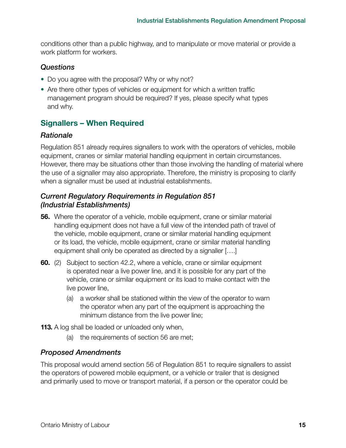conditions other than a public highway, and to manipulate or move material or provide a work platform for workers.

#### *Questions*

- **•** Do you agree with the proposal? Why or why not?
- **•** Are there other types of vehicles or equipment for which a written traffic management program should be required? If yes, please specify what types and why.

# **Signallers – When Required**

#### *Rationale*

Regulation 851 already requires signallers to work with the operators of vehicles, mobile equipment, cranes or similar material handling equipment in certain circumstances. However, there may be situations other than those involving the handling of material where the use of a signaller may also appropriate. Therefore, the ministry is proposing to clarify when a signaller must be used at industrial establishments.

#### *Current Regulatory Requirements in Regulation 851 (Industrial Establishments)*

- **56.** Where the operator of a vehicle, mobile equipment, crane or similar material handling equipment does not have a full view of the intended path of travel of the vehicle, mobile equipment, crane or similar material handling equipment or its load, the vehicle, mobile equipment, crane or similar material handling equipment shall only be operated as directed by a signaller [….]
- **60.** (2) Subject to section 42.2, where a vehicle, crane or similar equipment is operated near a live power line, and it is possible for any part of the vehicle, crane or similar equipment or its load to make contact with the live power line,
	- (a) a worker shall be stationed within the view of the operator to warn the operator when any part of the equipment is approaching the minimum distance from the live power line;
- **113.** A log shall be loaded or unloaded only when,
	- (a) the requirements of section 56 are met;

#### *Proposed Amendments*

This proposal would amend section 56 of Regulation 851 to require signallers to assist the operators of powered mobile equipment, or a vehicle or trailer that is designed and primarily used to move or transport material, if a person or the operator could be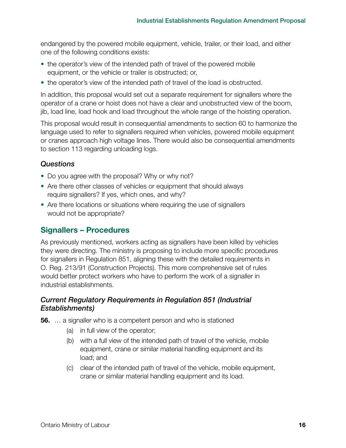endangered by the powered mobile equipment, vehicle, trailer, or their load, and either one of the following conditions exists:

- **•** the operator's view of the intended path of travel of the powered mobile equipment, or the vehicle or trailer is obstructed; or,
- **•** the operator's view of the intended path of travel of the load is obstructed.

In addition, this proposal would set out a separate requirement for signallers where the operator of a crane or hoist does not have a clear and unobstructed view of the boom, jib, load line, load hook and load throughout the whole range of the hoisting operation.

This proposal would result in consequential amendments to section 60 to harmonize the language used to refer to signallers required when vehicles, powered mobile equipment or cranes approach high voltage lines. There would also be consequential amendments to section 113 regarding unloading logs.

## *Questions*

- **•** Do you agree with the proposal? Why or why not?
- **•** Are there other classes of vehicles or equipment that should always require signallers? If yes, which ones, and why?
- **•** Are there locations or situations where requiring the use of signallers would not be appropriate?

# **Signallers – Procedures**

As previously mentioned, workers acting as signallers have been killed by vehicles they were directing. The ministry is proposing to include more specific procedures for signallers in Regulation 851, aligning these with the detailed requirements in O. Reg. 213/91 (Construction Projects). This more comprehensive set of rules would better protect workers who have to perform the work of a signaller in industrial establishments.

## *Current Regulatory Requirements in Regulation 851 (Industrial Establishments)*

**56.** … a signaller who is a competent person and who is stationed

- (a) in full view of the operator;
- (b) with a full view of the intended path of travel of the vehicle, mobile equipment, crane or similar material handling equipment and its load; and
- (c) clear of the intended path of travel of the vehicle, mobile equipment, crane or similar material handling equipment and its load.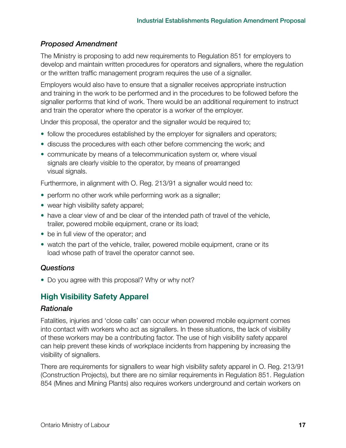The Ministry is proposing to add new requirements to Regulation 851 for employers to develop and maintain written procedures for operators and signallers, where the regulation or the written traffic management program requires the use of a signaller.

Employers would also have to ensure that a signaller receives appropriate instruction and training in the work to be performed and in the procedures to be followed before the signaller performs that kind of work. There would be an additional requirement to instruct and train the operator where the operator is a worker of the employer.

Under this proposal, the operator and the signaller would be required to;

- **•** follow the procedures established by the employer for signallers and operators;
- **•** discuss the procedures with each other before commencing the work; and
- **•** communicate by means of a telecommunication system or, where visual signals are clearly visible to the operator, by means of prearranged visual signals.

Furthermore, in alignment with O. Reg. 213/91 a signaller would need to:

- **•** perform no other work while performing work as a signaller;
- **•** wear high visibility safety apparel;
- **•** have a clear view of and be clear of the intended path of travel of the vehicle, trailer, powered mobile equipment, crane or its load;
- **•** be in full view of the operator; and
- **•** watch the part of the vehicle, trailer, powered mobile equipment, crane or its load whose path of travel the operator cannot see.

#### *Questions*

**•** Do you agree with this proposal? Why or why not?

# **High Visibility Safety Apparel**

#### *Rationale*

Fatalities, injuries and 'close calls' can occur when powered mobile equipment comes into contact with workers who act as signallers. In these situations, the lack of visibility of these workers may be a contributing factor. The use of high visibility safety apparel can help prevent these kinds of workplace incidents from happening by increasing the visibility of signallers.

There are requirements for signallers to wear high visibility safety apparel in O. Reg. 213/91 (Construction Projects), but there are no similar requirements in Regulation 851. Regulation 854 (Mines and Mining Plants) also requires workers underground and certain workers on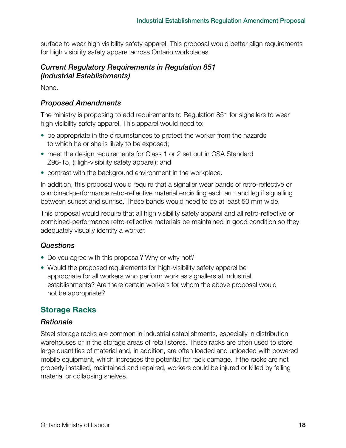surface to wear high visibility safety apparel. This proposal would better align requirements for high visibility safety apparel across Ontario workplaces.

#### *Current Regulatory Requirements in Regulation 851 (Industrial Establishments)*

None.

#### *Proposed Amendments*

The ministry is proposing to add requirements to Regulation 851 for signallers to wear high visibility safety apparel. This apparel would need to:

- **•** be appropriate in the circumstances to protect the worker from the hazards to which he or she is likely to be exposed;
- **•** meet the design requirements for Class 1 or 2 set out in CSA Standard Z96-15, (High-visibility safety apparel); and
- **•** contrast with the background environment in the workplace.

In addition, this proposal would require that a signaller wear bands of retro-reflective or combined-performance retro-reflective material encircling each arm and leg if signalling between sunset and sunrise. These bands would need to be at least 50 mm wide.

This proposal would require that all high visibility safety apparel and all retro-reflective or combined-performance retro-reflective materials be maintained in good condition so they adequately visually identify a worker.

## *Questions*

- **•** Do you agree with this proposal? Why or why not?
- **•** Would the proposed requirements for high-visibility safety apparel be appropriate for all workers who perform work as signallers at industrial establishments? Are there certain workers for whom the above proposal would not be appropriate?

# **Storage Racks**

#### *Rationale*

Steel storage racks are common in industrial establishments, especially in distribution warehouses or in the storage areas of retail stores. These racks are often used to store large quantities of material and, in addition, are often loaded and unloaded with powered mobile equipment, which increases the potential for rack damage. If the racks are not properly installed, maintained and repaired, workers could be injured or killed by falling material or collapsing shelves.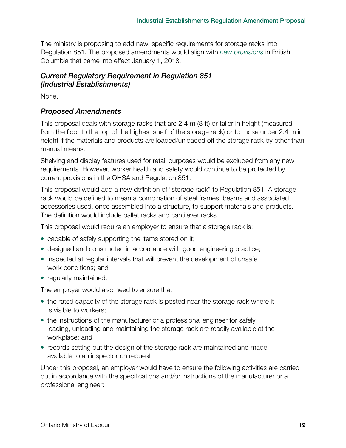The ministry is proposing to add new, specific requirements for storage racks into Regulation 851. The proposed amendments would align with *[new provisions](https://www.worksafebc.com/en/health-safety/tools-machinery-equipment/storage-racks)* in British Columbia that came into effect January 1, 2018.

## *Current Regulatory Requirement in Regulation 851 (Industrial Establishments)*

None.

#### *Proposed Amendments*

This proposal deals with storage racks that are 2.4 m (8 ft) or taller in height (measured from the floor to the top of the highest shelf of the storage rack) or to those under 2.4 m in height if the materials and products are loaded/unloaded off the storage rack by other than manual means.

Shelving and display features used for retail purposes would be excluded from any new requirements. However, worker health and safety would continue to be protected by current provisions in the OHSA and Regulation 851.

This proposal would add a new definition of "storage rack" to Regulation 851. A storage rack would be defined to mean a combination of steel frames, beams and associated accessories used, once assembled into a structure, to support materials and products. The definition would include pallet racks and cantilever racks.

This proposal would require an employer to ensure that a storage rack is:

- **•** capable of safely supporting the items stored on it;
- **•** designed and constructed in accordance with good engineering practice;
- **•** inspected at regular intervals that will prevent the development of unsafe work conditions; and
- **•** regularly maintained.

The employer would also need to ensure that

- **•** the rated capacity of the storage rack is posted near the storage rack where it is visible to workers;
- **•** the instructions of the manufacturer or a professional engineer for safely loading, unloading and maintaining the storage rack are readily available at the workplace; and
- **•** records setting out the design of the storage rack are maintained and made available to an inspector on request.

Under this proposal, an employer would have to ensure the following activities are carried out in accordance with the specifications and/or instructions of the manufacturer or a professional engineer: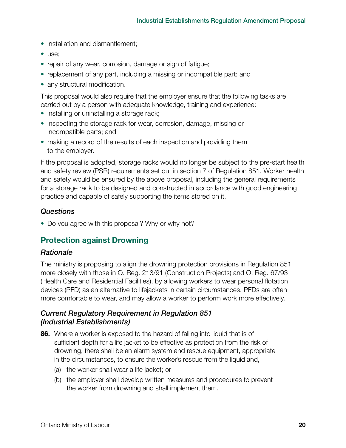- **•** installation and dismantlement;
- **•** use;
- **•** repair of any wear, corrosion, damage or sign of fatigue;
- **•** replacement of any part, including a missing or incompatible part; and
- any structural modification.

This proposal would also require that the employer ensure that the following tasks are carried out by a person with adequate knowledge, training and experience:

- **•** installing or uninstalling a storage rack;
- **•** inspecting the storage rack for wear, corrosion, damage, missing or incompatible parts; and
- **•** making a record of the results of each inspection and providing them to the employer.

If the proposal is adopted, storage racks would no longer be subject to the pre-start health and safety review (PSR) requirements set out in section 7 of Regulation 851. Worker health and safety would be ensured by the above proposal, including the general requirements for a storage rack to be designed and constructed in accordance with good engineering practice and capable of safely supporting the items stored on it.

#### *Questions*

**•** Do you agree with this proposal? Why or why not?

## **Protection against Drowning**

#### *Rationale*

The ministry is proposing to align the drowning protection provisions in Regulation 851 more closely with those in O. Reg. 213/91 (Construction Projects) and O. Reg. 67/93 (Health Care and Residential Facilities), by allowing workers to wear personal flotation devices (PFD) as an alternative to lifejackets in certain circumstances. PFDs are often more comfortable to wear, and may allow a worker to perform work more effectively.

#### *Current Regulatory Requirement in Regulation 851 (Industrial Establishments)*

- **86.** Where a worker is exposed to the hazard of falling into liquid that is of sufficient depth for a life jacket to be effective as protection from the risk of drowning, there shall be an alarm system and rescue equipment, appropriate in the circumstances, to ensure the worker's rescue from the liquid and,
	- (a) the worker shall wear a life jacket; or
	- (b) the employer shall develop written measures and procedures to prevent the worker from drowning and shall implement them.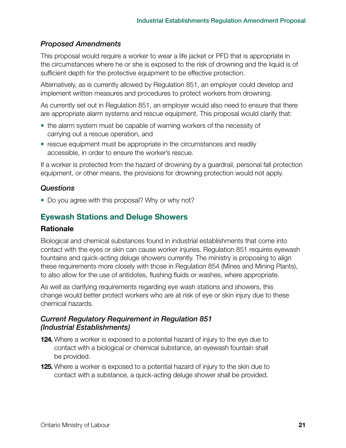This proposal would require a worker to wear a life jacket or PFD that is appropriate in the circumstances where he or she is exposed to the risk of drowning and the liquid is of sufficient depth for the protective equipment to be effective protection.

Alternatively, as is currently allowed by Regulation 851, an employer could develop and implement written measures and procedures to protect workers from drowning.

As currently set out in Regulation 851, an employer would also need to ensure that there are appropriate alarm systems and rescue equipment. This proposal would clarify that:

- **•** the alarm system must be capable of warning workers of the necessity of carrying out a rescue operation, and
- **•** rescue equipment must be appropriate in the circumstances and readily accessible, in order to ensure the worker's rescue.

If a worker is protected from the hazard of drowning by a guardrail, personal fall protection equipment, or other means, the provisions for drowning protection would not apply.

#### *Questions*

**•** Do you agree with this proposal? Why or why not?

# **Eyewash Stations and Deluge Showers**

## **Rationale**

Biological and chemical substances found in industrial establishments that come into contact with the eyes or skin can cause worker injuries. Regulation 851 requires eyewash fountains and quick-acting deluge showers currently. The ministry is proposing to align these requirements more closely with those in Regulation 854 (Mines and Mining Plants), to also allow for the use of antidotes, flushing fluids or washes, where appropriate.

As well as clarifying requirements regarding eye wash stations and showers, this change would better protect workers who are at risk of eye or skin injury due to these chemical hazards.

## *Current Regulatory Requirement in Regulation 851 (Industrial Establishments)*

- **124.** Where a worker is exposed to a potential hazard of injury to the eye due to contact with a biological or chemical substance, an eyewash fountain shall be provided.
- **125.** Where a worker is exposed to a potential hazard of injury to the skin due to contact with a substance, a quick-acting deluge shower shall be provided.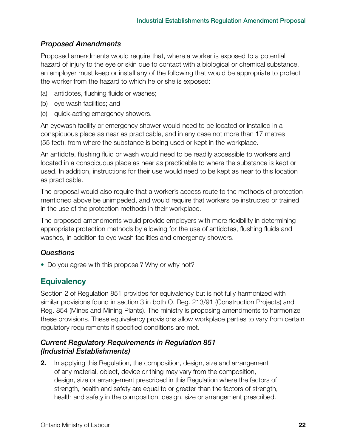Proposed amendments would require that, where a worker is exposed to a potential hazard of injury to the eye or skin due to contact with a biological or chemical substance, an employer must keep or install any of the following that would be appropriate to protect the worker from the hazard to which he or she is exposed:

- (a) antidotes, flushing fluids or washes;
- (b) eye wash facilities; and
- (c) quick-acting emergency showers.

An eyewash facility or emergency shower would need to be located or installed in a conspicuous place as near as practicable, and in any case not more than 17 metres (55 feet), from where the substance is being used or kept in the workplace.

An antidote, flushing fluid or wash would need to be readily accessible to workers and located in a conspicuous place as near as practicable to where the substance is kept or used. In addition, instructions for their use would need to be kept as near to this location as practicable.

The proposal would also require that a worker's access route to the methods of protection mentioned above be unimpeded, and would require that workers be instructed or trained in the use of the protection methods in their workplace.

The proposed amendments would provide employers with more flexibility in determining appropriate protection methods by allowing for the use of antidotes, flushing fluids and washes, in addition to eye wash facilities and emergency showers.

## *Questions*

**•** Do you agree with this proposal? Why or why not?

# **Equivalency**

Section 2 of Regulation 851 provides for equivalency but is not fully harmonized with similar provisions found in section 3 in both O. Reg. 213/91 (Construction Projects) and Reg. 854 (Mines and Mining Plants). The ministry is proposing amendments to harmonize these provisions. These equivalency provisions allow workplace parties to vary from certain regulatory requirements if specified conditions are met.

## *Current Regulatory Requirements in Regulation 851 (Industrial Establishments)*

**2.** In applying this Regulation, the composition, design, size and arrangement of any material, object, device or thing may vary from the composition, design, size or arrangement prescribed in this Regulation where the factors of strength, health and safety are equal to or greater than the factors of strength, health and safety in the composition, design, size or arrangement prescribed.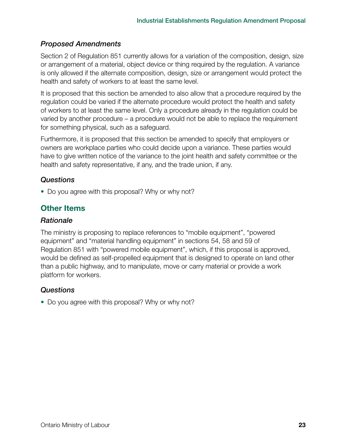Section 2 of Regulation 851 currently allows for a variation of the composition, design, size or arrangement of a material, object device or thing required by the regulation. A variance is only allowed if the alternate composition, design, size or arrangement would protect the health and safety of workers to at least the same level.

It is proposed that this section be amended to also allow that a procedure required by the regulation could be varied if the alternate procedure would protect the health and safety of workers to at least the same level. Only a procedure already in the regulation could be varied by another procedure – a procedure would not be able to replace the requirement for something physical, such as a safeguard.

Furthermore, it is proposed that this section be amended to specify that employers or owners are workplace parties who could decide upon a variance. These parties would have to give written notice of the variance to the joint health and safety committee or the health and safety representative, if any, and the trade union, if any.

## *Questions*

**•** Do you agree with this proposal? Why or why not?

## **Other Items**

#### *Rationale*

The ministry is proposing to replace references to "mobile equipment", "powered equipment" and "material handling equipment" in sections 54, 58 and 59 of Regulation 851 with "powered mobile equipment", which, if this proposal is approved, would be defined as self-propelled equipment that is designed to operate on land other than a public highway, and to manipulate, move or carry material or provide a work platform for workers.

#### *Questions*

**•** Do you agree with this proposal? Why or why not?